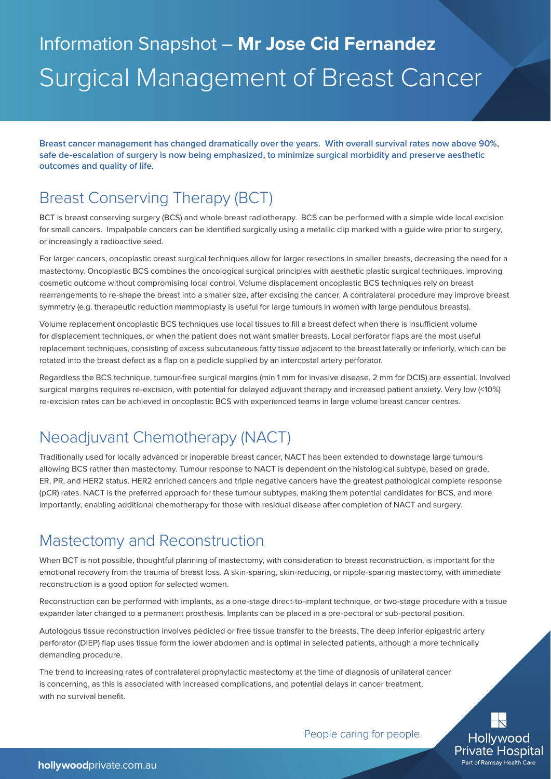# Information Snapshot – **Mr Jose Cid Fernandez** Surgical Management of Breast Cancer

**Breast cancer management has changed dramatically over the years. With overall survival rates now above 90%, safe de-escalation of surgery is now being emphasized, to minimize surgical morbidity and preserve aesthetic outcomes and quality of life.**

## Breast Conserving Therapy (BCT)

BCT is breast conserving surgery (BCS) and whole breast radiotherapy. BCS can be performed with a simple wide local excision for small cancers. Impalpable cancers can be identified surgically using a metallic clip marked with a guide wire prior to surgery, or increasingly a radioactive seed.

For larger cancers, oncoplastic breast surgical techniques allow for larger resections in smaller breasts, decreasing the need for a mastectomy. Oncoplastic BCS combines the oncological surgical principles with aesthetic plastic surgical techniques, improving cosmetic outcome without compromising local control. Volume displacement oncoplastic BCS techniques rely on breast rearrangements to re-shape the breast into a smaller size, after excising the cancer. A contralateral procedure may improve breast symmetry (e.g. therapeutic reduction mammoplasty is useful for large tumours in women with large pendulous breasts).

Volume replacement oncoplastic BCS techniques use local tissues to fill a breast defect when there is insufficient volume for displacement techniques, or when the patient does not want smaller breasts. Local perforator flaps are the most useful replacement techniques, consisting of excess subcutaneous fatty tissue adjacent to the breast laterally or inferiorly, which can be rotated into the breast defect as a flap on a pedicle supplied by an intercostal artery perforator.

Regardless the BCS technique, tumour-free surgical margins (min 1 mm for invasive disease, 2 mm for DCIS) are essential. Involved surgical margins requires re-excision, with potential for delayed adjuvant therapy and increased patient anxiety. Very low (<10%) re-excision rates can be achieved in oncoplastic BCS with experienced teams in large volume breast cancer centres.

### Neoadjuvant Chemotherapy (NACT)

Traditionally used for locally advanced or inoperable breast cancer, NACT has been extended to downstage large tumours allowing BCS rather than mastectomy. Tumour response to NACT is dependent on the histological subtype, based on grade, ER, PR, and HER2 status. HER2 enriched cancers and triple negative cancers have the greatest pathological complete response (pCR) rates. NACT is the preferred approach for these tumour subtypes, making them potential candidates for BCS, and more importantly, enabling additional chemotherapy for those with residual disease after completion of NACT and surgery.

#### Mastectomy and Reconstruction

When BCT is not possible, thoughtful planning of mastectomy, with consideration to breast reconstruction, is important for the emotional recovery from the trauma of breast loss. A skin-sparing, skin-reducing, or nipple-sparing mastectomy, with immediate reconstruction is a good option for selected women.

Reconstruction can be performed with implants, as a one-stage direct-to-implant technique, or two-stage procedure with a tissue expander later changed to a permanent prosthesis. Implants can be placed in a pre-pectoral or sub-pectoral position.

Autologous tissue reconstruction involves pedicled or free tissue transfer to the breasts. The deep inferior epigastric artery perforator (DIEP) flap uses tissue form the lower abdomen and is optimal in selected patients, although a more technically demanding procedure.

The trend to increasing rates of contralateral prophylactic mastectomy at the time of diagnosis of unilateral cancer is concerning, as this is associated with increased complications, and potential delays in cancer treatment, with no survival benefit.

People caring for people.